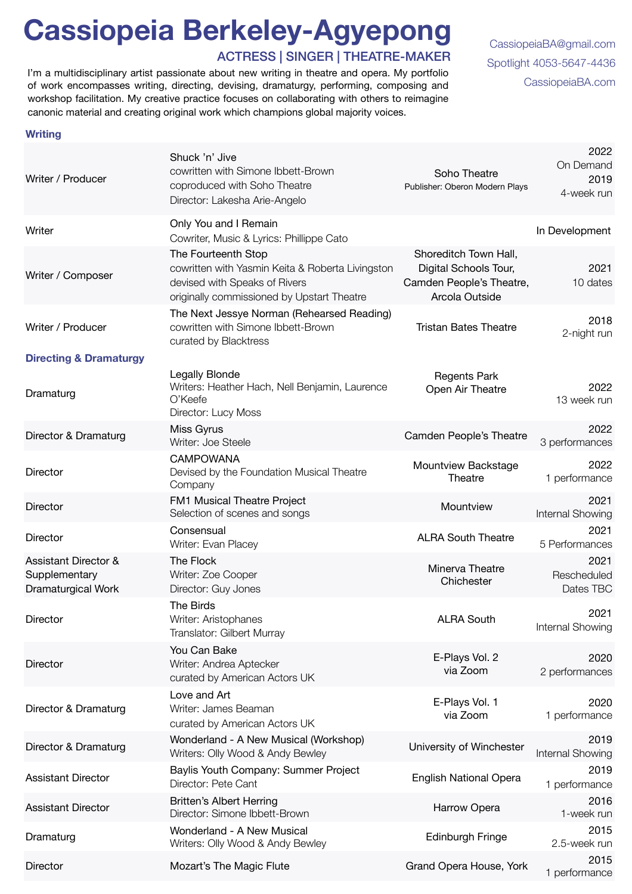## **Cassiopeia Berkeley-Agyepong**

ACTRESS | SINGER | THEATRE-MAKER

I'm a multidisciplinary artist passionate about new writing in theatre and opera. My portfolio<br>Of work encompasses writing directing devising dramaturgy performing composing and [CassiopeiaBA.com](http://CassiopeiaBA.com) of work encompasses writing, directing, devising, dramaturgy, performing, composing and workshop facilitation. My creative practice focuses on collaborating with others to reimagine canonic material and creating original work which champions global majority voices.

[CassiopeiaBA@gmail.com](mailto:CassiopeiaBA@gmail.com)  [Spotlight 4053-5647-4436](https://www.spotlight.com/profile/4053-5647-4436) 

## **Writing**

| Writer / Producer                                                      | Shuck 'n' Jive<br>cowritten with Simone Ibbett-Brown<br>coproduced with Soho Theatre<br>Director: Lakesha Arie-Angelo                                  | Soho Theatre<br>Publisher: Oberon Modern Plays                                               | 2022<br>On Demand<br>2019<br>4-week run |
|------------------------------------------------------------------------|--------------------------------------------------------------------------------------------------------------------------------------------------------|----------------------------------------------------------------------------------------------|-----------------------------------------|
| Writer                                                                 | Only You and I Remain<br>Cowriter, Music & Lyrics: Phillippe Cato                                                                                      |                                                                                              | In Development                          |
| Writer / Composer                                                      | The Fourteenth Stop<br>cowritten with Yasmin Keita & Roberta Livingston<br>devised with Speaks of Rivers<br>originally commissioned by Upstart Theatre | Shoreditch Town Hall,<br>Digital Schools Tour,<br>Camden People's Theatre,<br>Arcola Outside | 2021<br>10 dates                        |
| Writer / Producer                                                      | The Next Jessye Norman (Rehearsed Reading)<br>cowritten with Simone Ibbett-Brown<br>curated by Blacktress                                              | <b>Tristan Bates Theatre</b>                                                                 | 2018<br>2-night run                     |
| <b>Directing &amp; Dramaturgy</b>                                      |                                                                                                                                                        |                                                                                              |                                         |
| Dramaturg                                                              | Legally Blonde<br>Writers: Heather Hach, Nell Benjamin, Laurence<br>O'Keefe<br>Director: Lucy Moss                                                     | <b>Regents Park</b><br>Open Air Theatre                                                      | 2022<br>13 week run                     |
| Director & Dramaturg                                                   | Miss Gyrus<br>Writer: Joe Steele                                                                                                                       | Camden People's Theatre                                                                      | 2022<br>3 performances                  |
| Director                                                               | <b>CAMPOWANA</b><br>Devised by the Foundation Musical Theatre<br>Company                                                                               | Mountview Backstage<br>Theatre                                                               | 2022<br>1 performance                   |
| <b>Director</b>                                                        | FM1 Musical Theatre Project<br>Selection of scenes and songs                                                                                           | Mountview                                                                                    | 2021<br>Internal Showing                |
| Director                                                               | Consensual<br>Writer: Evan Placey                                                                                                                      | <b>ALRA South Theatre</b>                                                                    | 2021<br>5 Performances                  |
| <b>Assistant Director &amp;</b><br>Supplementary<br>Dramaturgical Work | The Flock<br>Writer: Zoe Cooper<br>Director: Guy Jones                                                                                                 | Minerva Theatre<br>Chichester                                                                | 2021<br>Rescheduled<br>Dates TBC        |
| Director                                                               | The Birds<br>Writer: Aristophanes<br>Translator: Gilbert Murray                                                                                        | <b>ALRA South</b>                                                                            | 2021<br>Internal Showing                |
| Director                                                               | You Can Bake<br>Writer: Andrea Aptecker<br>curated by American Actors UK                                                                               | E-Plays Vol. 2<br>via Zoom                                                                   | 2020<br>2 performances                  |
| Director & Dramaturg                                                   | Love and Art<br>Writer: James Beaman<br>curated by American Actors UK                                                                                  | E-Plays Vol. 1<br>via Zoom                                                                   | 2020<br>1 performance                   |
| Director & Dramaturg                                                   | Wonderland - A New Musical (Workshop)<br>Writers: Olly Wood & Andy Bewley                                                                              | University of Winchester                                                                     | 2019<br>Internal Showing                |
| <b>Assistant Director</b>                                              | Baylis Youth Company: Summer Project<br>Director: Pete Cant                                                                                            | <b>English National Opera</b>                                                                | 2019<br>1 performance                   |
| <b>Assistant Director</b>                                              | <b>Britten's Albert Herring</b><br>Director: Simone Ibbett-Brown                                                                                       | Harrow Opera                                                                                 | 2016<br>1-week run                      |
| Dramaturg                                                              | Wonderland - A New Musical<br>Writers: Olly Wood & Andy Bewley                                                                                         | <b>Edinburgh Fringe</b>                                                                      | 2015<br>2.5-week run                    |
| <b>Director</b>                                                        | Mozart's The Magic Flute                                                                                                                               | Grand Opera House, York                                                                      | 2015<br>1 performance                   |